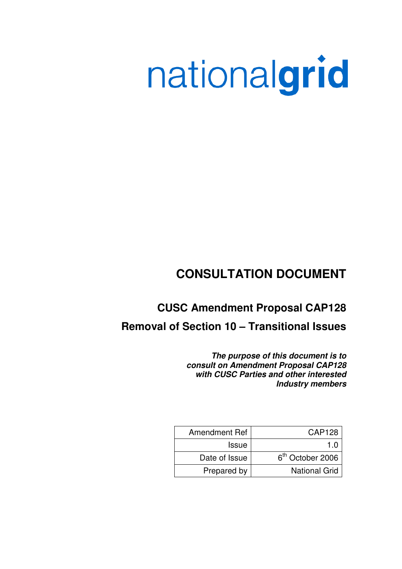# nationalgrid

# **CONSULTATION DOCUMENT**

# **CUSC Amendment Proposal CAP128**

## **Removal of Section 10 – Transitional Issues**

**The purpose of this document is to consult on Amendment Proposal CAP128 with CUSC Parties and other interested Industry members** 

| <b>Amendment Ref</b> | <b>CAP128</b>                |
|----------------------|------------------------------|
| <b>Issue</b>         | 1 በ                          |
| Date of Issue        | 6 <sup>th</sup> October 2006 |
| Prepared by          | <b>National Grid</b>         |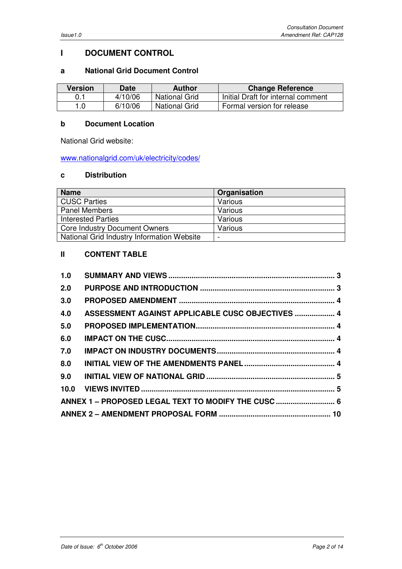## **I DOCUMENT CONTROL**

## **a National Grid Document Control**

| <b>Version</b> | <b>Date</b> | <b>Author</b> | <b>Change Reference</b>            |
|----------------|-------------|---------------|------------------------------------|
|                | 4/10/06     | National Grid | Initial Draft for internal comment |
| 1.0            | 6/10/06     | National Grid | Formal version for release         |

## **b Document Location**

National Grid website:

www.nationalgrid.com/uk/electricity/codes/

## **c Distribution**

| <b>Name</b>                                | Organisation |
|--------------------------------------------|--------------|
| <b>CUSC Parties</b>                        | Various      |
| <b>Panel Members</b>                       | Various      |
| <b>Interested Parties</b>                  | Various      |
| <b>Core Industry Document Owners</b>       | Various      |
| National Grid Industry Information Website |              |

## **II CONTENT TABLE**

| 1.0 |                                                     |  |
|-----|-----------------------------------------------------|--|
| 2.0 |                                                     |  |
| 3.0 |                                                     |  |
| 4.0 | ASSESSMENT AGAINST APPLICABLE CUSC OBJECTIVES  4    |  |
| 5.0 |                                                     |  |
| 6.0 |                                                     |  |
| 7.0 |                                                     |  |
| 8.0 |                                                     |  |
| 9.0 |                                                     |  |
|     |                                                     |  |
|     | ANNEX 1 - PROPOSED LEGAL TEXT TO MODIFY THE CUSC  6 |  |
|     |                                                     |  |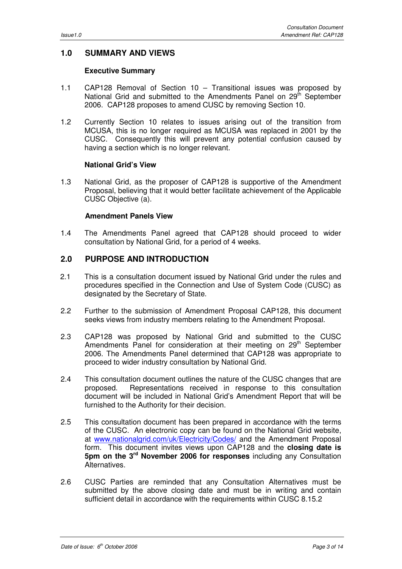## **1.0 SUMMARY AND VIEWS**

## **Executive Summary**

- 1.1 CAP128 Removal of Section 10 Transitional issues was proposed by National Grid and submitted to the Amendments Panel on 29<sup>th</sup> September 2006. CAP128 proposes to amend CUSC by removing Section 10.
- 1.2 Currently Section 10 relates to issues arising out of the transition from MCUSA, this is no longer required as MCUSA was replaced in 2001 by the CUSC. Consequently this will prevent any potential confusion caused by having a section which is no longer relevant.

## **National Grid's View**

1.3 National Grid, as the proposer of CAP128 is supportive of the Amendment Proposal, believing that it would better facilitate achievement of the Applicable CUSC Objective (a).

## **Amendment Panels View**

1.4 The Amendments Panel agreed that CAP128 should proceed to wider consultation by National Grid, for a period of 4 weeks.

## **2.0 PURPOSE AND INTRODUCTION**

- 2.1 This is a consultation document issued by National Grid under the rules and procedures specified in the Connection and Use of System Code (CUSC) as designated by the Secretary of State.
- 2.2 Further to the submission of Amendment Proposal CAP128, this document seeks views from industry members relating to the Amendment Proposal.
- 2.3 CAP128 was proposed by National Grid and submitted to the CUSC Amendments Panel for consideration at their meeting on 29<sup>th</sup> September 2006. The Amendments Panel determined that CAP128 was appropriate to proceed to wider industry consultation by National Grid.
- 2.4 This consultation document outlines the nature of the CUSC changes that are proposed. Representations received in response to this consultation document will be included in National Grid's Amendment Report that will be furnished to the Authority for their decision.
- 2.5 This consultation document has been prepared in accordance with the terms of the CUSC. An electronic copy can be found on the National Grid website, at www.nationalgrid.com/uk/Electricity/Codes/ and the Amendment Proposal form. This document invites views upon CAP128 and the **closing date is 5pm on the 3rd November 2006 for responses** including any Consultation Alternatives.
- 2.6 CUSC Parties are reminded that any Consultation Alternatives must be submitted by the above closing date and must be in writing and contain sufficient detail in accordance with the requirements within CUSC 8.15.2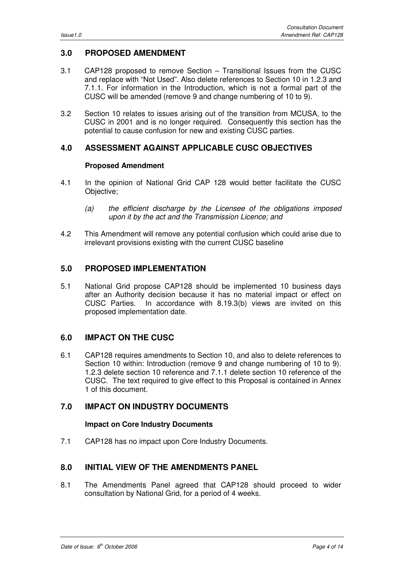## **3.0 PROPOSED AMENDMENT**

- 3.1 CAP128 proposed to remove Section Transitional Issues from the CUSC and replace with "Not Used". Also delete references to Section 10 in 1.2.3 and 7.1.1. For information in the Introduction, which is not a formal part of the CUSC will be amended (remove 9 and change numbering of 10 to 9).
- 3.2 Section 10 relates to issues arising out of the transition from MCUSA, to the CUSC in 2001 and is no longer required. Consequently this section has the potential to cause confusion for new and existing CUSC parties.

## **4.0 ASSESSMENT AGAINST APPLICABLE CUSC OBJECTIVES**

#### **Proposed Amendment**

- 4.1 In the opinion of National Grid CAP 128 would better facilitate the CUSC Objective;
	- (a) the efficient discharge by the Licensee of the obligations imposed upon it by the act and the Transmission Licence; and
- 4.2 This Amendment will remove any potential confusion which could arise due to irrelevant provisions existing with the current CUSC baseline

## **5.0 PROPOSED IMPLEMENTATION**

5.1 National Grid propose CAP128 should be implemented 10 business days after an Authority decision because it has no material impact or effect on CUSC Parties. In accordance with 8.19.3(b) views are invited on this proposed implementation date.

## **6.0 IMPACT ON THE CUSC**

6.1 CAP128 requires amendments to Section 10, and also to delete references to Section 10 within: Introduction (remove 9 and change numbering of 10 to 9). 1.2.3 delete section 10 reference and 7.1.1 delete section 10 reference of the CUSC. The text required to give effect to this Proposal is contained in Annex 1 of this document.

## **7.0 IMPACT ON INDUSTRY DOCUMENTS**

## **Impact on Core Industry Documents**

7.1 CAP128 has no impact upon Core Industry Documents.

## **8.0 INITIAL VIEW OF THE AMENDMENTS PANEL**

8.1 The Amendments Panel agreed that CAP128 should proceed to wider consultation by National Grid, for a period of 4 weeks.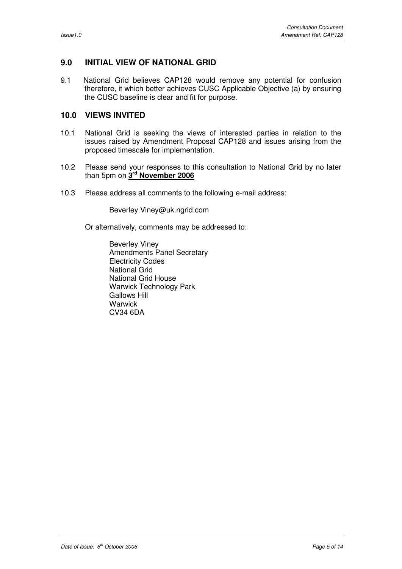## **9.0 INITIAL VIEW OF NATIONAL GRID**

9.1 National Grid believes CAP128 would remove any potential for confusion therefore, it which better achieves CUSC Applicable Objective (a) by ensuring the CUSC baseline is clear and fit for purpose.

## **10.0 VIEWS INVITED**

- 10.1 National Grid is seeking the views of interested parties in relation to the issues raised by Amendment Proposal CAP128 and issues arising from the proposed timescale for implementation.
- 10.2 Please send your responses to this consultation to National Grid by no later than 5pm on **3 rd November 2006**
- 10.3 Please address all comments to the following e-mail address:

Beverley.Viney@uk.ngrid.com

Or alternatively, comments may be addressed to:

Beverley Viney Amendments Panel Secretary Electricity Codes National Grid National Grid House Warwick Technology Park Gallows Hill **Warwick** CV34 6DA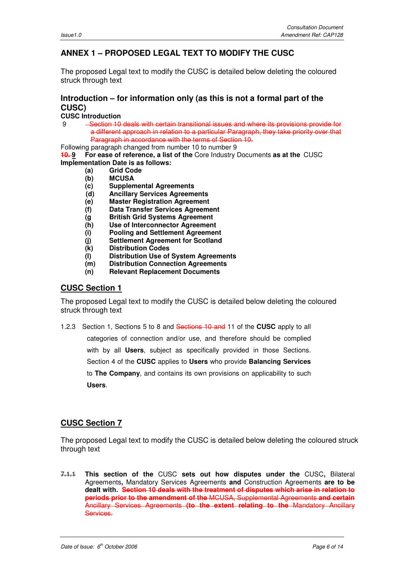## **ANNEX 1 – PROPOSED LEGAL TEXT TO MODIFY THE CUSC**

The proposed Legal text to modify the CUSC is detailed below deleting the coloured struck through text

## **Introduction – for information only (as this is not a formal part of the CUSC)**

**CUSC Introduction** 

9 Section 10 deals with certain transitional issues and where its provisions provide for a different approach in relation to a particular Paragraph, they take priority over that Paragraph in accordance with the terms of Section 10.

Following paragraph changed from number 10 to number 9

**10. 9 For ease of reference, a list of the** Core Industry Documents **as at the** CUSC **Implementation Date is as follows:** 

- **(a) Grid Code**
- **(b) MCUSA**
- **(c) Supplemental Agreements**
- **(d) Ancillary Services Agreements**
- **(e) Master Registration Agreement**
- **(f) Data Transfer Services Agreement**
- **(g British Grid Systems Agreement**
- **(h) Use of Interconnector Agreement**
- **(i) Pooling and Settlement Agreement**
- **(j) Settlement Agreement for Scotland**
- **(k) Distribution Codes**
- **(l) Distribution Use of System Agreements**
- **(m) Distribution Connection Agreements**
- **(n) Relevant Replacement Documents**

## **CUSC Section 1**

The proposed Legal text to modify the CUSC is detailed below deleting the coloured struck through text

1.2.3Section 1, Sections 5 to 8 and Sections 10 and 11 of the **CUSC** apply to all categories of connection and/or use, and therefore should be complied with by all **Users**, subject as specifically provided in those Sections. Section 4 of the **CUSC** applies to **Users** who provide **Balancing Services**  to **The Company**, and contains its own provisions on applicability to such **Users**.

## **CUSC Section 7**

The proposed Legal text to modify the CUSC is detailed below deleting the coloured struck through text

7.1.1 **This section of the** CUSC **sets out how disputes under the** CUSC**,** Bilateral Agreements**,** Mandatory Services Agreements **and** Construction Agreements **are to be dealt with. Section 10 deals with the treatment of disputes which arise in relation to periods prior to the amendment of the** MCUSA, Supplemental Agreements **and certain**  Ancillary Services Agreements **(to the extent relating to the** Mandatory Ancillary Services.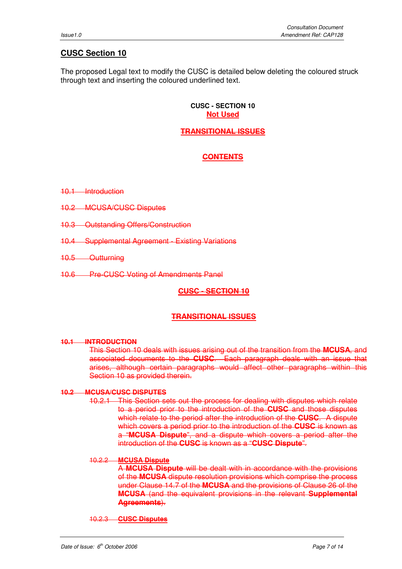## **CUSC Section 10**

The proposed Legal text to modify the CUSC is detailed below deleting the coloured struck through text and inserting the coloured underlined text.

#### **CUSC - SECTION 10 Not Used**

## **TRANSITIONAL ISSUES**

## **CONTENTS**

10.1 Introduction

- 10.2 MCUSA/CUSC Disputes
- 10.3 Outstanding Offers/Construction
- 10.4 Supplemental Agreement Existing Variations
- 10.5 Outturning
- 10.6 Pre-CUSC Voting of Amendments Panel

## **CUSC - SECTION 10**

## **TRANSITIONAL ISSUES**

## **10.1 INTRODUCTION**

This Section 10 deals with issues arising out of the transition from the **MCUSA**, and associated documents to the **CUSC**. Each paragraph deals with an issue that arises, although certain paragraphs would affect other paragraphs within this Section 10 as provided therein.

## **10.2 MCUSA/CUSC DISPUTES**

10.2.1 This Section sets out the process for dealing with disputes which relate to a period prior to the introduction of the **CUSC** and those disputes which relate to the period after the introduction of the **CUSC**. A dispute which covers a period prior to the introduction of the **CUSC** is known as a "**MCUSA Dispute**", and a dispute which covers a period after the introduction of the **CUSC** is known as a "**CUSC Dispute**".

## 10.2.2 **MCUSA Dispute**

A **MCUSA Dispute** will be dealt with in accordance with the provisions of the **MCUSA** dispute resolution provisions which comprise the process under Clause 14.7 of the **MCUSA** and the provisions of Clause 26 of the **MCUSA** (and the equivalent provisions in the relevant **Supplemental Agreements**).

10.2.3 **CUSC Disputes**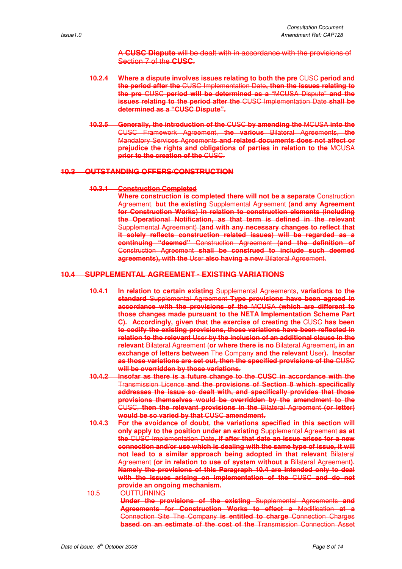A **CUSC Dispute** will be dealt with in accordance with the provisions of Section 7 of the **CUSC**.

- **10.2.4 Where a dispute involves issues relating to both the pre** CUSC **period and the period after the** CUSC Implementation Date**, then the issues relating to the pre** CUSC **period will be determined as a** "MCUSA Dispute" **and the issues relating to the period after the** CUSC Implementation Date **shall be determined as a "CUSC Dispute".**
- **10.2.5 Generally, the introduction of the** CUSC **by amending the** MCUSA **into the** CUSC Framework Agreement, t**he various** Bilateral Agreements, **the** Mandatory Services Agreements **and related documents does not affect or prejudice the rights and obligations of parties in relation to the** MCUSA **prior to the creation of the** CUSC.

#### **10.3 OUTSTANDING OFFERS/CONSTRUCTION**

#### **10.3.1 Construction Completed**

**Where construction is completed there will not be a separate** Construction Agreement, **but the existing** Supplemental Agreement **(and any Agreement for Construction Works) in relation to construction elements (including the Operational Notification, as that term is defined in the relevant**  Supplemental Agreement) **(and with any necessary changes to reflect that it solely reflects construction related issues) will be regarded as a continuing "deemed"** Construction Agreement **(and the definition of** Construction Agreement **shall be construed to include such deemed agreements), with the** User **also having a new** Bilateral Agreement.

#### **10.4 SUPPLEMENTAL AGREEMENT - EXISTING VARIATIONS**

- **10.4.1 In relation to certain existing** Supplemental Agreements**, variations to the standard** Supplemental Agreement **Type provisions have been agreed in accordance with the provisions of the** MCUSA **(which are different to those changes made pursuant to the NETA Implementation Scheme Part C). Accordingly, given that the exercise of creating the** CUSC **has been to codify the existing provisions, those variations have been reflected in relation to the relevant** User b**y the inclusion of an additional clause in the relevant** Bilateral Agreement (**or where there is no** Bilateral Agreement**, in an exchange of letters between** The Company **and the relevant** User**). Insofar as those variations are set out, then the specified provisions of the** CUSC **will be overridden by those variations.**
- **10.4.2 Insofar as there is a future change to the CUSC in accordance with the** Transmission Licence **and the provisions of Section 8 which specifically addresses the issue so dealt with, and specifically provides that those provisions themselves would be overridden by the amendment to the** CUSC, **then the relevant provisions in the** Bilateral Agreement **(or letter) would be so varied by that** CUSC **amendment.**
- **10.4.3 For the avoidance of doubt, the variations specified in this section will only apply to the position under an existing** Supplemental Agreement **as at the** CUSC Implementation Date**, if after that date an issue arises for a new connection and/or use which is dealing with the same type of issue, it will not lead to a similar approach being adopted in that relevant** Bilateral Agreement **(or in relation to use of system without a** Bilateral Agreement**). Namely the provisions of this Paragraph 10.4 are intended only to deal with the issues arising on implementation of the** CUSC **and do not provide an ongoing mechanism.**
- 10.5 OUTTURNING **Under the provisions of the existing** Supplemental Agreements **and Agreements for Construction Works to effect a** Modification **at a** Connection Site The Company **is entitled to charge** Connection Charges **based on an estimate of the cost of the** Transmission Connection Asset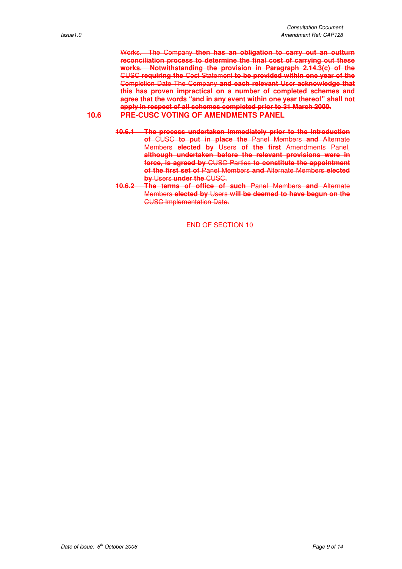Works. The Company **then has an obligation to carry out an outturn reconciliation process to determine the final cost of carrying out these works. Notwithstanding the provision in Paragraph 2.14.3(c) of the** CUSC **requiring the** Cost Statement **to be provided within one year of the** Completion Date The Company **and each relevant** User **acknowledge that this has proven impractical on a number of completed schemes and agree that the words "and in any event within one year thereof" shall not apply in respect of all schemes completed prior to 31 March 2000. 10.6 PRE-CUSC VOTING OF AMENDMENTS PANEL**

- **10.6.1 The process undertaken immediately prior to the introduction of** CUSC **to put in place the** Panel Members **and** Alternate Members **elected by** Users **of the first** Amendments Panel, **although undertaken before the relevant provisions were in force, is agreed by** CUSC Parties **to constitute the appointment of the first set of** Panel Members **and** Alternate Members **elected by** Users **under the** CUSC.
- **10.6.2 The terms of office of such** Panel Members **and** Alternate Members **elected by** Users **will be deemed to have begun on the** CUSC Implementation Date.

END OF SECTION 10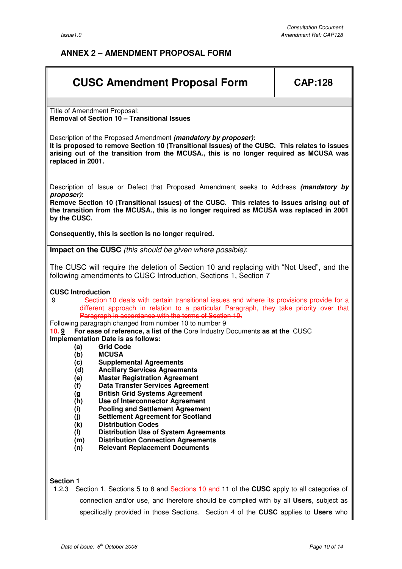## **ANNEX 2 – AMENDMENT PROPOSAL FORM**

# **CUSC Amendment Proposal Form | CAP:128**

Title of Amendment Proposal: **Removal of Section 10 – Transitional Issues** 

Description of the Proposed Amendment **(mandatory by proposer): It is proposed to remove Section 10 (Transitional Issues) of the CUSC. This relates to issues arising out of the transition from the MCUSA., this is no longer required as MCUSA was replaced in 2001.** 

Description of Issue or Defect that Proposed Amendment seeks to Address **(mandatory by proposer):** 

**Remove Section 10 (Transitional Issues) of the CUSC. This relates to issues arising out of the transition from the MCUSA., this is no longer required as MCUSA was replaced in 2001 by the CUSC.** 

**Consequently, this is section is no longer required.** 

**Impact on the CUSC** (this should be given where possible):

The CUSC will require the deletion of Section 10 and replacing with "Not Used", and the following amendments to CUSC Introduction, Sections 1, Section 7

#### **CUSC Introduction**

- **Section 10 deals with certain transitional issues and where its provisions provide for a** different approach in relation to a particular Paragraph, they take priority over that Paragraph in accordance with the terms of Section 10.
- Following paragraph changed from number 10 to number 9<br>**10.9** For ease of reference, a list of the Core Industry

**10. 9 For ease of reference, a list of the** Core Industry Documents **as at the** CUSC

- **Implementation Date is as follows:** 
	- **(a) Grid Code**
	- **(b) MCUSA**
	- **(c) Supplemental Agreements**
	- **(d) Ancillary Services Agreements**
	- **(e) Master Registration Agreement**
	- **(f) Data Transfer Services Agreement**
	- **(g British Grid Systems Agreement**
	- **(h) Use of Interconnector Agreement**
	- **(i) Pooling and Settlement Agreement**
	- **(j) Settlement Agreement for Scotland**
	- **(k) Distribution Codes**
	- **(l) Distribution Use of System Agreements**
	- **(m) Distribution Connection Agreements**
	- **(n) Relevant Replacement Documents**

#### **Section 1**

1.2.3Section 1, Sections 5 to 8 and Sections 10 and 11 of the **CUSC** apply to all categories of connection and/or use, and therefore should be complied with by all **Users**, subject as specifically provided in those Sections. Section 4 of the **CUSC** applies to **Users** who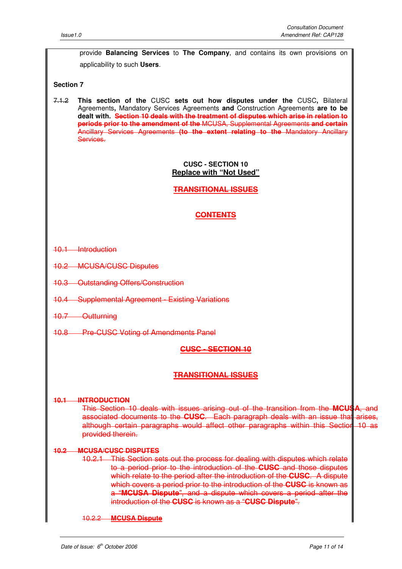provide **Balancing Services** to **The Company**, and contains its own provisions on applicability to such **Users**.

#### **Section 7**

7.1.2 **This section of the** CUSC **sets out how disputes under the** CUSC**,** Bilateral Agreements**,** Mandatory Services Agreements **and** Construction Agreements **are to be dealt with. Section 10 deals with the treatment of disputes which arise in relation to periods prior to the amendment of the** MCUSA, Supplemental Agreements **and certain**  Ancillary Services Agreements **(to the extent relating to the** Mandatory Ancillary Services.

#### **CUSC - SECTION 10 Replace with "Not Used"**

**TRANSITIONAL ISSUES**

## **CONTENTS**

- 10.1 Introduction
- 10.2 MCUSA/CUSC Disputes
- 10.3 Outstanding Offers/Construction
- 10.4 Supplemental Agreement Existing Variations
- 10.7 Outturning
- 10.8 Pre-CUSC Voting of Amendments Panel

#### **CUSC - SECTION 10**

#### **TRANSITIONAL ISSUES**

#### **10.1 INTRODUCTION**

This Section 10 deals with issues arising out of the transition from the **MCUSA**, and associated documents to the **CUSC**. Each paragraph deals with an issue that arises, although certain paragraphs would affect other paragraphs within this Section 10 as provided therein.

#### **10.2 MCUSA/CUSC DISPUTES**

10.2.1 This Section sets out the process for dealing with disputes which relate to a period prior to the introduction of the **CUSC** and those disputes which relate to the period after the introduction of the **CUSC**. A dispute which covers a period prior to the introduction of the **CUSC** is known as a "**MCUSA Dispute**", and a dispute which covers a period after the introduction of the **CUSC** is known as a "**CUSC Dispute**".

10.2.2 **MCUSA Dispute**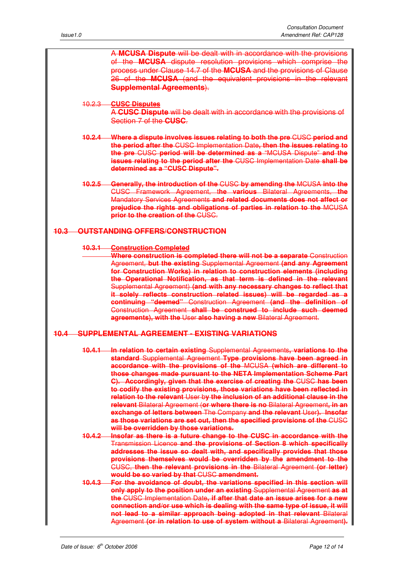| A MCUSA Dispute will be dealt with in accordance with the provisions                                                                                     |
|----------------------------------------------------------------------------------------------------------------------------------------------------------|
| of the <b>MCUSA</b> dispute resolution provisions which comprise the                                                                                     |
| process under Clause 14.7 of the MCUSA and the provisions of Clause<br>26 of the <b>MCUSA</b> (and the equivalent provisions in the relevant             |
| <b>Supplemental Agreements).</b>                                                                                                                         |
| 10.2.3 CUSC Disputes                                                                                                                                     |
| A CUSC Dispute will be dealt with in accordance with the provisions of                                                                                   |
| Section 7 of the CUSC.                                                                                                                                   |
| 10.2.4 Where a dispute involves issues relating to both the pre CUSC period and                                                                          |
| the period after the CUSC Implementation Date, then the issues relating to                                                                               |
| the pre CUSC period will be determined as a "MCUSA Dispute" and the<br><b>issues relating to the period after the CUSC Implementation Date shall be</b>  |
| determined as a "CUSC Dispute".                                                                                                                          |
| 10.2.5 Generally, the introduction of the CUSC by amending the MCUSA into the                                                                            |
| CUSC Framework Agreement, the various Bilateral Agreements, the                                                                                          |
| Mandatory Services Agreements and related documents does not affect or<br>prejudice the rights and obligations of parties in relation to the MCUSA       |
| prior to the creation of the CUSC.                                                                                                                       |
| <b>10.3 OUTSTANDING OFFERS/CONSTRUCTION</b>                                                                                                              |
| <b>10.3.1 Construction Completed</b>                                                                                                                     |
| Where construction is completed there will not be a separate Construction                                                                                |
| Agreement, but the existing Supplemental Agreement (and any Agreement<br>for Construction Works) in relation to construction elements (including         |
| the Operational Notification, as that term is defined in the relevant                                                                                    |
| Supplemental Agreement) (and with any necessary changes to reflect that                                                                                  |
| it solely reflects construction related issues) will be regarded as a                                                                                    |
| continuing "deemed" Construction Agreement (and the definition of<br>Construction Agreement shall be construed to include such deemed                    |
| agreements), with the User also having a new Bilateral Agreement.                                                                                        |
| 10.4 SUPPLEMENTAL AGREEMENT - EXISTING VARIATIONS                                                                                                        |
| 10.4.1 In relation to certain existing Supplemental Agreements, variations to the                                                                        |
| standard Supplemental Agreement Type provisions have been agreed in                                                                                      |
| accordance with the provisions of the MCUSA (which are different to<br>those changes made pursuant to the NETA Implementation Scheme Part                |
| C). Accordingly, given that the exercise of creating the CUSC has been                                                                                   |
| to codify the existing provisions, those variations have been reflected in                                                                               |
| relation to the relevant User by the inclusion of an additional clause in the                                                                            |
| relevant Bilateral Agreement (or where there is no Bilateral Agreement, in an<br>exchange of letters between The Company and the relevant User). Insofar |
| as those variations are set out, then the specified provisions of the CUSC                                                                               |
| will be overridden by those variations.                                                                                                                  |
| 10.4.2 Insofar as there is a future change to the CUSC in accordance with the<br>Transmission Licence and the provisions of Section 8 which specifically |
| addresses the issue so dealt with, and specifically provides that those                                                                                  |
| provisions themselves would be overridden by the amendment to the                                                                                        |
| CUSC, then the relevant provisions in the Bilateral Agreement (or letter)                                                                                |
| would be so varied by that CUSC amendment.<br>10.4.3 For the avoidance of doubt, the variations specified in this section will                           |
| only apply to the position under an existing Supplemental Agreement as at                                                                                |
| the CUSC Implementation Date, if after that date an issue arises for a new                                                                               |
| connection and/or use which is dealing with the same type of issue, it will                                                                              |
| not lead to a similar approach being adopted in that relevant Bilateral<br>Agreement (or in relation to use of system without a Bilateral Agreement).    |
|                                                                                                                                                          |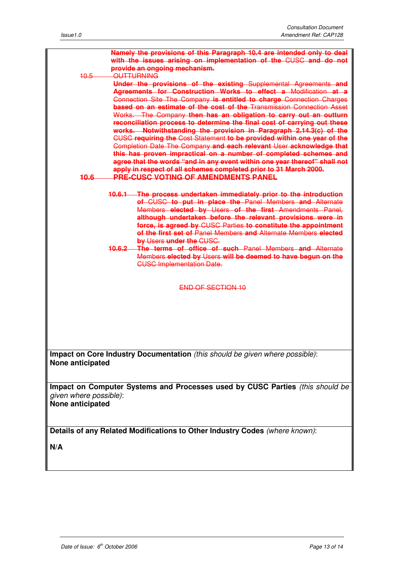| Namely the provisions of this Paragraph 10.4 are intended only to deal        |  |  |
|-------------------------------------------------------------------------------|--|--|
| with the issues arising on implementation of the CUSC and do not              |  |  |
| provide an ongoing mechanism.                                                 |  |  |
| OUTTURNING<br>10.5                                                            |  |  |
| Under the provisions of the existing Supplemental Agreements and              |  |  |
| Agreements for Construction Works to effect a Modification at a               |  |  |
| Connection Site The Company is entitled to charge Connection Charges          |  |  |
| based on an estimate of the cost of the Transmission Connection Asset         |  |  |
| Works. The Company then has an obligation to carry out an outturn             |  |  |
| reconciliation process to determine the final cost of carrying out these      |  |  |
| works. Notwithstanding the provision in Paragraph 2.14.3(c) of the            |  |  |
| CUSC requiring the Cost Statement to be provided within one year of the       |  |  |
| Completion Date The Company and each relevant User acknowledge that           |  |  |
| this has proven impractical on a number of completed schemes and              |  |  |
| agree that the words "and in any event within one year thereof" shall not     |  |  |
| apply in respect of all schemes completed prior to 31 March 2000.             |  |  |
| <b>PRE-CUSC VOTING OF AMENDMENTS PANEL</b><br>40.6                            |  |  |
|                                                                               |  |  |
| 10.6.1 The process undertaken immediately prior to the introduction           |  |  |
| of CUSC to put in place the Panel Members and Alternate                       |  |  |
| Members elected by Users of the first Amendments Panel.                       |  |  |
| although undertaken before the relevant provisions were in                    |  |  |
| force, is agreed by CUSC Parties to constitute the appointment                |  |  |
| of the first set of Panel Members and Alternate Members elected               |  |  |
| by Users under the CUSC.                                                      |  |  |
| 10.6.2 The terms of office of such Panel Members and Alternate                |  |  |
| Members elected by Users will be deemed to have begun on the                  |  |  |
| <b>CUSC Implementation Date.</b>                                              |  |  |
|                                                                               |  |  |
|                                                                               |  |  |
| <b>END OF SECTION 10</b>                                                      |  |  |
|                                                                               |  |  |
|                                                                               |  |  |
|                                                                               |  |  |
|                                                                               |  |  |
|                                                                               |  |  |
|                                                                               |  |  |
|                                                                               |  |  |
| Impact on Core Industry Documentation (this should be given where possible):  |  |  |
| None anticipated                                                              |  |  |
|                                                                               |  |  |
|                                                                               |  |  |
|                                                                               |  |  |
| Impact on Computer Systems and Processes used by CUSC Parties (this should be |  |  |
| given where possible):                                                        |  |  |
| None anticipated                                                              |  |  |
|                                                                               |  |  |
|                                                                               |  |  |
| Details of any Related Modifications to Other Industry Codes (where known):   |  |  |
|                                                                               |  |  |
| N/A                                                                           |  |  |
|                                                                               |  |  |
|                                                                               |  |  |
|                                                                               |  |  |